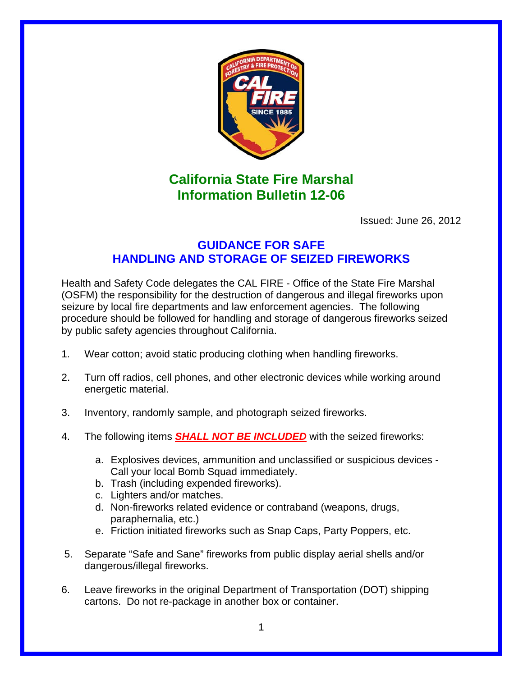

## **California State Fire Marshal Information Bulletin 12-06**

Issued: June 26, 2012

## **GUIDANCE FOR SAFE HANDLING AND STORAGE OF SEIZED FIREWORKS**

Health and Safety Code delegates the CAL FIRE - Office of the State Fire Marshal (OSFM) the responsibility for the destruction of dangerous and illegal fireworks upon seizure by local fire departments and law enforcement agencies. The following procedure should be followed for handling and storage of dangerous fireworks seized by public safety agencies throughout California.

- 1. Wear cotton; avoid static producing clothing when handling fireworks.
- 2. Turn off radios, cell phones, and other electronic devices while working around energetic material.
- 3. Inventory, randomly sample, and photograph seized fireworks.
- 4. The following items *SHALL NOT BE INCLUDED* with the seized fireworks:
	- a. Explosives devices, ammunition and unclassified or suspicious devices Call your local Bomb Squad immediately.
	- b. Trash (including expended fireworks).
	- c. Lighters and/or matches.
	- d. Non-fireworks related evidence or contraband (weapons, drugs, paraphernalia, etc.)
	- e. Friction initiated fireworks such as Snap Caps, Party Poppers, etc.
- 5. Separate "Safe and Sane" fireworks from public display aerial shells and/or dangerous/illegal fireworks.
- 6. Leave fireworks in the original Department of Transportation (DOT) shipping cartons. Do not re-package in another box or container.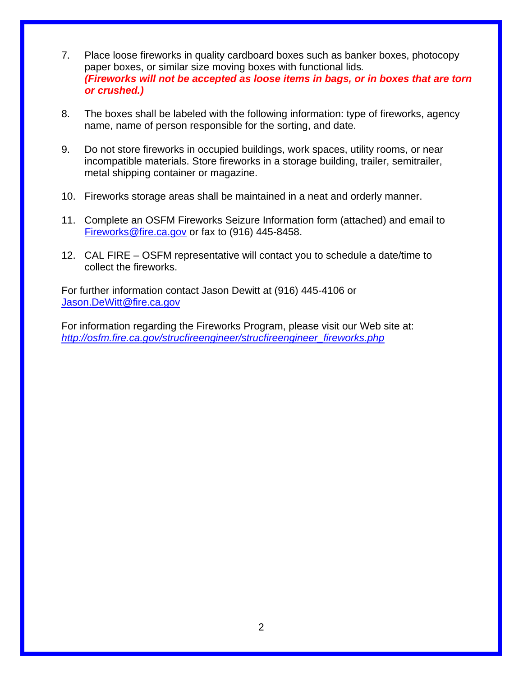- 7. Place loose fireworks in quality cardboard boxes such as banker boxes, photocopy paper boxes, or similar size moving boxes with functional lids*. (Fireworks will not be accepted as loose items in bags, or in boxes that are torn or crushed.)*
- 8. The boxes shall be labeled with the following information: type of fireworks, agency name, name of person responsible for the sorting, and date.
- 9. Do not store fireworks in occupied buildings, work spaces, utility rooms, or near incompatible materials. Store fireworks in a storage building, trailer, semitrailer, metal shipping container or magazine.
- 10. Fireworks storage areas shall be maintained in a neat and orderly manner.
- 11. Complete an OSFM Fireworks Seizure Information form (attached) and email to Fireworks@fire.ca.gov or fax to (916) 445-8458.
- 12. CAL FIRE OSFM representative will contact you to schedule a date/time to collect the fireworks.

For further information contact Jason Dewitt at (916) 445-4106 or Jason.DeWitt@fire.ca.gov

For information regarding the Fireworks Program, please visit our Web site at: *http://osfm.fire.ca.gov/strucfireengineer/strucfireengineer\_fireworks.php*